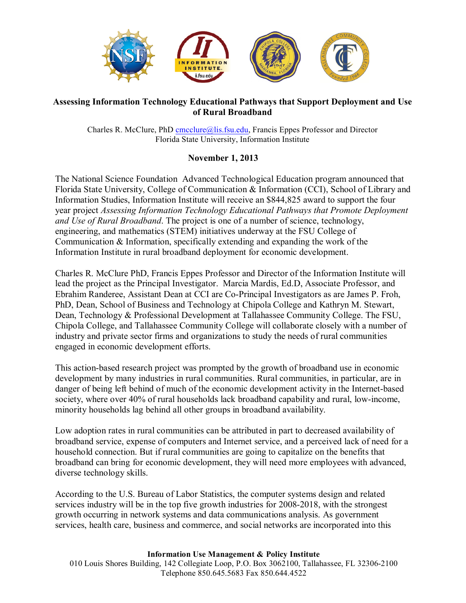

## **Assessing Information Technology Educational Pathways that Support Deployment and Use of Rural Broadband**

Charles R. McClure, PhD cmcclure@lis.fsu.edu, Francis Eppes Professor and Director Florida State University, Information Institute

## **November 1, 2013**

The National Science Foundation Advanced Technological Education program announced that Florida State University, College of Communication & Information (CCI), School of Library and Information Studies, Information Institute will receive an \$844,825 award to support the four year project *Assessing Information Technology Educational Pathways that Promote Deployment and Use of Rural Broadband*. The project is one of a number of science, technology, engineering, and mathematics (STEM) initiatives underway at the FSU College of Communication & Information, specifically extending and expanding the work of the Information Institute in rural broadband deployment for economic development.

Charles R. McClure PhD, Francis Eppes Professor and Director of the Information Institute will lead the project as the Principal Investigator. Marcia Mardis, Ed.D, Associate Professor, and Ebrahim Randeree, Assistant Dean at CCI are Co-Principal Investigators as are James P. Froh, PhD, Dean, School of Business and Technology at Chipola College and Kathryn M. Stewart, Dean, Technology & Professional Development at Tallahassee Community College. The FSU, Chipola College, and Tallahassee Community College will collaborate closely with a number of industry and private sector firms and organizations to study the needs of rural communities engaged in economic development efforts.

This action-based research project was prompted by the growth of broadband use in economic development by many industries in rural communities. Rural communities, in particular, are in danger of being left behind of much of the economic development activity in the Internet-based society, where over 40% of rural households lack broadband capability and rural, low-income, minority households lag behind all other groups in broadband availability.

Low adoption rates in rural communities can be attributed in part to decreased availability of broadband service, expense of computers and Internet service, and a perceived lack of need for a household connection. But if rural communities are going to capitalize on the benefits that broadband can bring for economic development, they will need more employees with advanced, diverse technology skills.

According to the U.S. Bureau of Labor Statistics, the computer systems design and related services industry will be in the top five growth industries for 2008-2018, with the strongest growth occurring in network systems and data communications analysis. As government services, health care, business and commerce, and social networks are incorporated into this

## **Information Use Management & Policy Institute**

010 Louis Shores Building, 142 Collegiate Loop, P.O. Box 3062100, Tallahassee, FL 32306-2100 Telephone 850.645.5683 Fax 850.644.4522